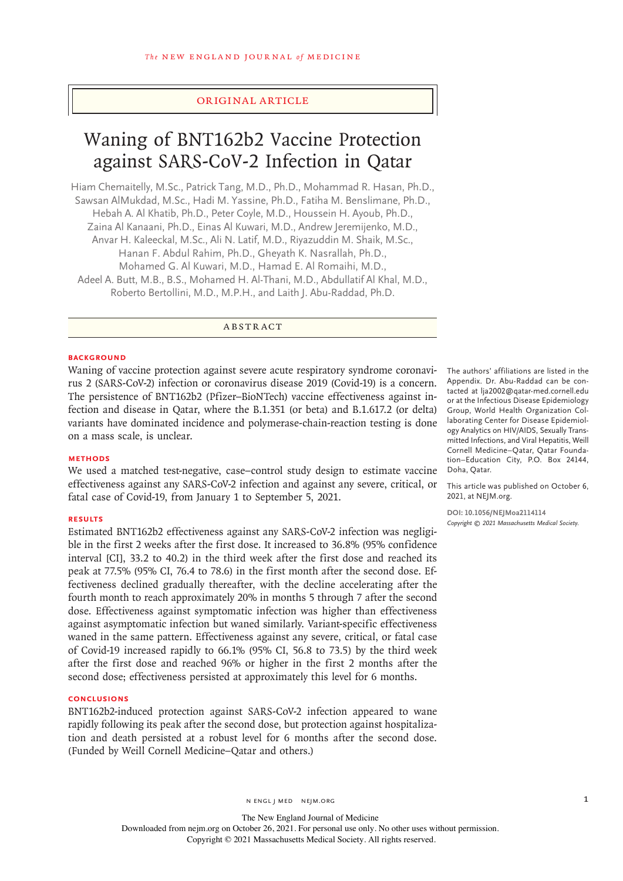# Original Article

# Waning of BNT162b2 Vaccine Protection against SARS-CoV-2 Infection in Qatar

Hiam Chemaitelly, M.Sc., Patrick Tang, M.D., Ph.D., Mohammad R. Hasan, Ph.D., Sawsan AlMukdad, M.Sc., Hadi M. Yassine, Ph.D., Fatiha M. Benslimane, Ph.D., Hebah A. Al Khatib, Ph.D., Peter Coyle, M.D., Houssein H. Ayoub, Ph.D., Zaina Al Kanaani, Ph.D., Einas Al Kuwari, M.D., Andrew Jeremijenko, M.D., Anvar H. Kaleeckal, M.Sc., Ali N. Latif, M.D., Riyazuddin M. Shaik, M.Sc., Hanan F. Abdul Rahim, Ph.D., Gheyath K. Nasrallah, Ph.D., Mohamed G. Al Kuwari, M.D., Hamad E. Al Romaihi, M.D., Adeel A. Butt, M.B., B.S., Mohamed H. Al-Thani, M.D., Abdullatif Al Khal, M.D., Roberto Bertollini, M.D., M.P.H., and Laith J. Abu-Raddad, Ph.D.

ABSTRACT

### **BACKGROUND**

Waning of vaccine protection against severe acute respiratory syndrome coronavirus 2 (SARS-CoV-2) infection or coronavirus disease 2019 (Covid-19) is a concern. The persistence of BNT162b2 (Pfizer–BioNTech) vaccine effectiveness against infection and disease in Qatar, where the B.1.351 (or beta) and B.1.617.2 (or delta) variants have dominated incidence and polymerase-chain-reaction testing is done on a mass scale, is unclear.

## **METHODS**

We used a matched test-negative, case–control study design to estimate vaccine effectiveness against any SARS-CoV-2 infection and against any severe, critical, or fatal case of Covid-19, from January 1 to September 5, 2021.

#### **RESULTS**

Estimated BNT162b2 effectiveness against any SARS-CoV-2 infection was negligible in the first 2 weeks after the first dose. It increased to 36.8% (95% confidence interval [CI], 33.2 to 40.2) in the third week after the first dose and reached its peak at 77.5% (95% CI, 76.4 to 78.6) in the first month after the second dose. Effectiveness declined gradually thereafter, with the decline accelerating after the fourth month to reach approximately 20% in months 5 through 7 after the second dose. Effectiveness against symptomatic infection was higher than effectiveness against asymptomatic infection but waned similarly. Variant-specific effectiveness waned in the same pattern. Effectiveness against any severe, critical, or fatal case of Covid-19 increased rapidly to 66.1% (95% CI, 56.8 to 73.5) by the third week after the first dose and reached 96% or higher in the first 2 months after the second dose; effectiveness persisted at approximately this level for 6 months.

#### **CONCLUSIONS**

BNT162b2-induced protection against SARS-CoV-2 infection appeared to wane rapidly following its peak after the second dose, but protection against hospitalization and death persisted at a robust level for 6 months after the second dose. (Funded by Weill Cornell Medicine–Qatar and others.)

The authors' affiliations are listed in the Appendix. Dr. Abu-Raddad can be contacted at lja2002@qatar-med.cornell.edu or at the Infectious Disease Epidemiology Group, World Health Organization Collaborating Center for Disease Epidemiology Analytics on HIV/AIDS, Sexually Transmitted Infections, and Viral Hepatitis, Weill Cornell Medicine–Qatar, Qatar Foundation–Education City, P.O. Box 24144, Doha, Qatar.

This article was published on October 6, 2021, at NEJM.org.

**DOI: 10.1056/NEJMoa2114114** *Copyright © 2021 Massachusetts Medical Society.*

n engl j med nejm.org 1

The New England Journal of Medicine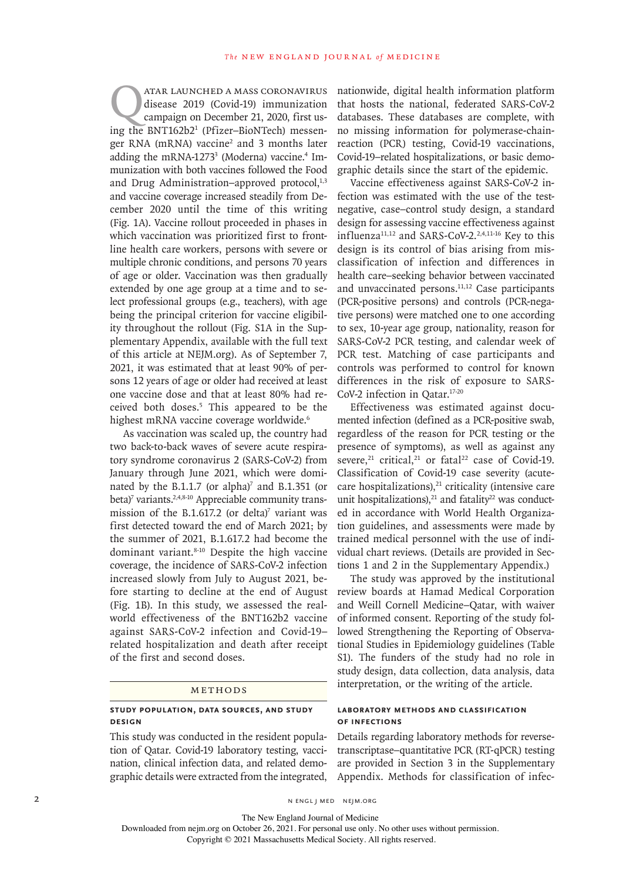ATAR LAUNCHED A MASS CORONAVIRUS<br>disease 2019 (Covid-19) immunization<br>campaign on December 21, 2020, first usdisease 2019 (Covid-19) immunization campaign on December 21, 2020, first using the BNT162b2<sup>1</sup> (Pfizer-BioNTech) messenger RNA (mRNA) vaccine<sup>2</sup> and 3 months later adding the mRNA-1273<sup>3</sup> (Moderna) vaccine.<sup>4</sup> Immunization with both vaccines followed the Food and Drug Administration–approved protocol,<sup>1,3</sup> and vaccine coverage increased steadily from December 2020 until the time of this writing (Fig. 1A). Vaccine rollout proceeded in phases in which vaccination was prioritized first to frontline health care workers, persons with severe or multiple chronic conditions, and persons 70 years of age or older. Vaccination was then gradually extended by one age group at a time and to select professional groups (e.g., teachers), with age being the principal criterion for vaccine eligibility throughout the rollout (Fig. S1A in the Supplementary Appendix, available with the full text of this article at NEJM.org). As of September 7, 2021, it was estimated that at least 90% of persons 12 years of age or older had received at least one vaccine dose and that at least 80% had received both doses.5 This appeared to be the highest mRNA vaccine coverage worldwide.<sup>6</sup>

As vaccination was scaled up, the country had two back-to-back waves of severe acute respiratory syndrome coronavirus 2 (SARS-CoV-2) from January through June 2021, which were dominated by the B.1.1.7 (or alpha)<sup>7</sup> and B.1.351 (or beta)<sup>7</sup> variants.<sup>2,4,8-10</sup> Appreciable community transmission of the B.1.617.2 (or delta) $\bar{y}$  variant was first detected toward the end of March 2021; by the summer of 2021, B.1.617.2 had become the dominant variant.<sup>8-10</sup> Despite the high vaccine coverage, the incidence of SARS-CoV-2 infection increased slowly from July to August 2021, before starting to decline at the end of August (Fig. 1B). In this study, we assessed the realworld effectiveness of the BNT162b2 vaccine against SARS-CoV-2 infection and Covid-19– related hospitalization and death after receipt of the first and second doses.

#### Methods

# **Study Population, Data Sources, and Study Design**

This study was conducted in the resident population of Qatar. Covid-19 laboratory testing, vaccination, clinical infection data, and related demographic details were extracted from the integrated, nationwide, digital health information platform that hosts the national, federated SARS-CoV-2 databases. These databases are complete, with no missing information for polymerase-chainreaction (PCR) testing, Covid-19 vaccinations, Covid-19–related hospitalizations, or basic demographic details since the start of the epidemic.

Vaccine effectiveness against SARS-CoV-2 infection was estimated with the use of the testnegative, case–control study design, a standard design for assessing vaccine effectiveness against influenza<sup>11,12</sup> and SARS-CoV-2.<sup>2,4,11-16</sup> Key to this design is its control of bias arising from misclassification of infection and differences in health care–seeking behavior between vaccinated and unvaccinated persons.11,12 Case participants (PCR-positive persons) and controls (PCR-negative persons) were matched one to one according to sex, 10-year age group, nationality, reason for SARS-CoV-2 PCR testing, and calendar week of PCR test. Matching of case participants and controls was performed to control for known differences in the risk of exposure to SARS-CoV-2 infection in Qatar.17-20

Effectiveness was estimated against documented infection (defined as a PCR-positive swab, regardless of the reason for PCR testing or the presence of symptoms), as well as against any severe, $^{21}$  critical, $^{21}$  or fatal<sup>22</sup> case of Covid-19. Classification of Covid-19 case severity (acutecare hospitalizations), $21$  criticality (intensive care unit hospitalizations), $^{21}$  and fatality $^{22}$  was conducted in accordance with World Health Organization guidelines, and assessments were made by trained medical personnel with the use of individual chart reviews. (Details are provided in Sections 1 and 2 in the Supplementary Appendix.)

The study was approved by the institutional review boards at Hamad Medical Corporation and Weill Cornell Medicine–Qatar, with waiver of informed consent. Reporting of the study followed Strengthening the Reporting of Observational Studies in Epidemiology guidelines (Table S1). The funders of the study had no role in study design, data collection, data analysis, data interpretation, or the writing of the article.

# **Laboratory Methods and Classification of Infections**

Details regarding laboratory methods for reversetranscriptase–quantitative PCR (RT-qPCR) testing are provided in Section 3 in the Supplementary Appendix. Methods for classification of infec-

2 N ENGL J MED NEJM.ORG

The New England Journal of Medicine

Downloaded from nejm.org on October 26, 2021. For personal use only. No other uses without permission.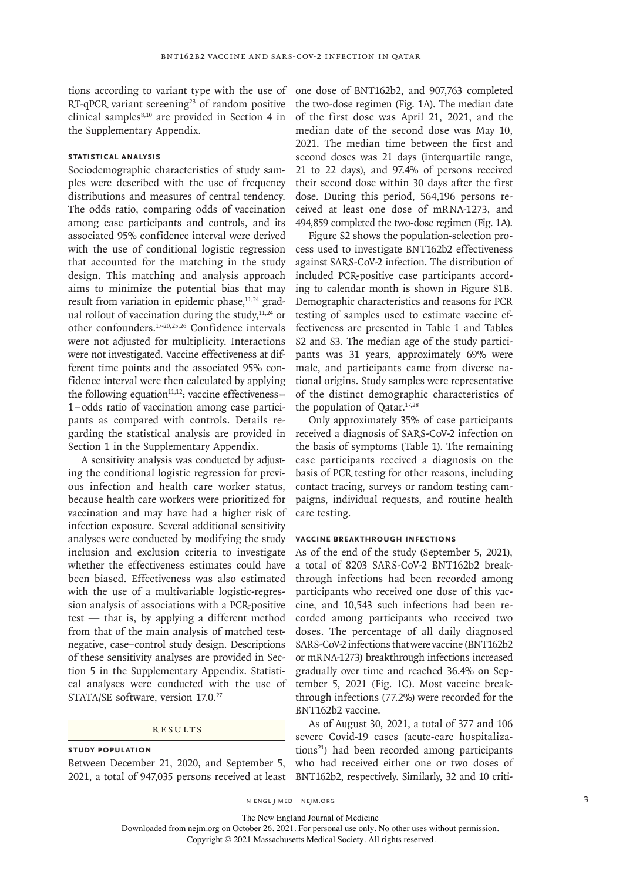tions according to variant type with the use of one dose of BNT162b2, and 907,763 completed RT-qPCR variant screening<sup>23</sup> of random positive clinical samples<sup>8,10</sup> are provided in Section 4 in the Supplementary Appendix.

# **Statistical Analysis**

Sociodemographic characteristics of study samples were described with the use of frequency distributions and measures of central tendency. The odds ratio, comparing odds of vaccination among case participants and controls, and its associated 95% confidence interval were derived with the use of conditional logistic regression that accounted for the matching in the study design. This matching and analysis approach aims to minimize the potential bias that may result from variation in epidemic phase, $11,24$  gradual rollout of vaccination during the study, $11,24$  or other confounders.17-20,25,26 Confidence intervals were not adjusted for multiplicity. Interactions were not investigated. Vaccine effectiveness at different time points and the associated 95% confidence interval were then calculated by applying the following equation<sup>11,12</sup>: vaccine effectiveness= 1−odds ratio of vaccination among case participants as compared with controls. Details regarding the statistical analysis are provided in Section 1 in the Supplementary Appendix.

A sensitivity analysis was conducted by adjusting the conditional logistic regression for previous infection and health care worker status, because health care workers were prioritized for vaccination and may have had a higher risk of infection exposure. Several additional sensitivity analyses were conducted by modifying the study inclusion and exclusion criteria to investigate whether the effectiveness estimates could have been biased. Effectiveness was also estimated with the use of a multivariable logistic-regression analysis of associations with a PCR-positive test — that is, by applying a different method from that of the main analysis of matched testnegative, case–control study design. Descriptions of these sensitivity analyses are provided in Section 5 in the Supplementary Appendix. Statistical analyses were conducted with the use of STATA/SE software, version 17.0.<sup>27</sup>

# Results

**Study Population** Between December 21, 2020, and September 5, the two-dose regimen (Fig. 1A). The median date of the first dose was April 21, 2021, and the median date of the second dose was May 10, 2021. The median time between the first and second doses was 21 days (interquartile range, 21 to 22 days), and 97.4% of persons received their second dose within 30 days after the first dose. During this period, 564,196 persons received at least one dose of mRNA-1273, and 494,859 completed the two-dose regimen (Fig. 1A).

Figure S2 shows the population-selection process used to investigate BNT162b2 effectiveness against SARS-CoV-2 infection. The distribution of included PCR-positive case participants according to calendar month is shown in Figure S1B. Demographic characteristics and reasons for PCR testing of samples used to estimate vaccine effectiveness are presented in Table 1 and Tables S2 and S3. The median age of the study participants was 31 years, approximately 69% were male, and participants came from diverse national origins. Study samples were representative of the distinct demographic characteristics of the population of Qatar.17,28

Only approximately 35% of case participants received a diagnosis of SARS-CoV-2 infection on the basis of symptoms (Table 1). The remaining case participants received a diagnosis on the basis of PCR testing for other reasons, including contact tracing, surveys or random testing campaigns, individual requests, and routine health care testing.

## **Vaccine Breakthrough Infections**

As of the end of the study (September 5, 2021), a total of 8203 SARS-CoV-2 BNT162b2 breakthrough infections had been recorded among participants who received one dose of this vaccine, and 10,543 such infections had been recorded among participants who received two doses. The percentage of all daily diagnosed SARS-CoV-2 infections that were vaccine (BNT162b2 or mRNA-1273) breakthrough infections increased gradually over time and reached 36.4% on September 5, 2021 (Fig. 1C). Most vaccine breakthrough infections (77.2%) were recorded for the BNT162b2 vaccine.

2021, a total of 947,035 persons received at least BNT162b2, respectively. Similarly, 32 and 10 criti-As of August 30, 2021, a total of 377 and 106 severe Covid-19 cases (acute-care hospitalizations21) had been recorded among participants who had received either one or two doses of

n engl j med nejm.org 3

The New England Journal of Medicine

Downloaded from nejm.org on October 26, 2021. For personal use only. No other uses without permission.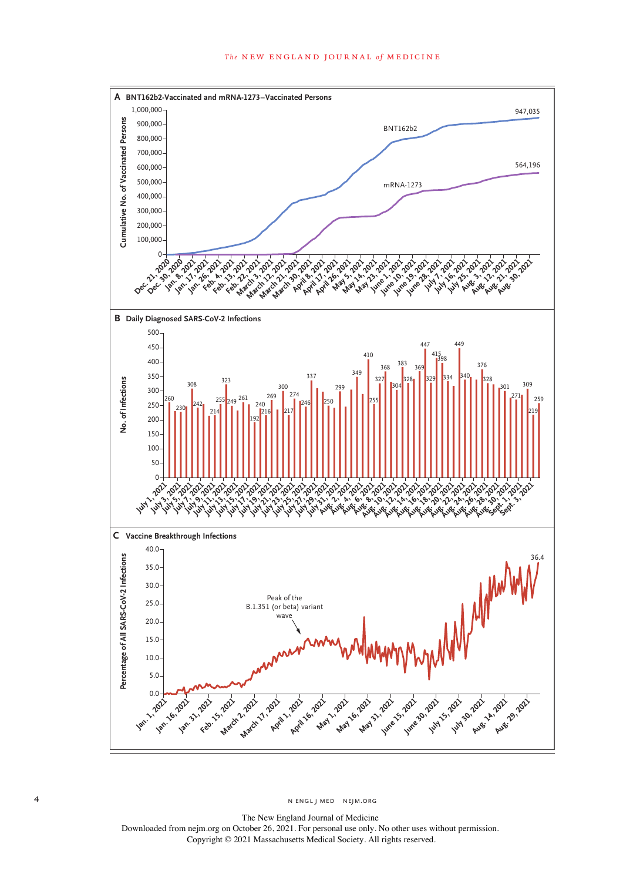

The New England Journal of Medicine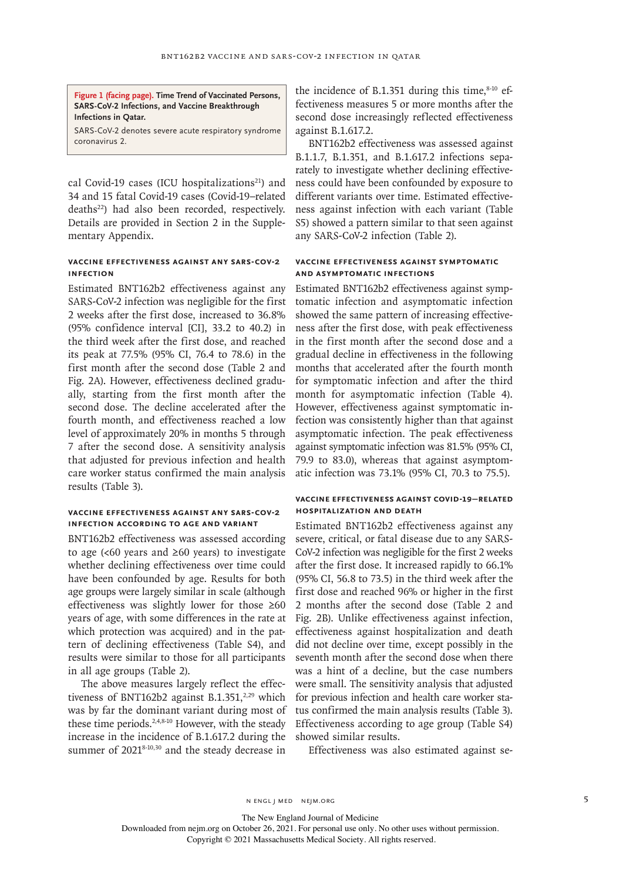**Figure 1 (facing page). Time Trend of Vaccinated Persons, SARS-CoV-2 Infections, and Vaccine Breakthrough Infections in Qatar.**

SARS-CoV-2 denotes severe acute respiratory syndrome coronavirus 2.

cal Covid-19 cases (ICU hospitalizations<sup>21</sup>) and 34 and 15 fatal Covid-19 cases (Covid-19–related deaths<sup>22</sup>) had also been recorded, respectively. Details are provided in Section 2 in the Supplementary Appendix.

# **Vaccine Effectiveness against Any SARS-CoV-2 Infection**

Estimated BNT162b2 effectiveness against any SARS-CoV-2 infection was negligible for the first 2 weeks after the first dose, increased to 36.8% (95% confidence interval [CI], 33.2 to 40.2) in the third week after the first dose, and reached its peak at 77.5% (95% CI, 76.4 to 78.6) in the first month after the second dose (Table 2 and Fig. 2A). However, effectiveness declined gradually, starting from the first month after the second dose. The decline accelerated after the fourth month, and effectiveness reached a low level of approximately 20% in months 5 through 7 after the second dose. A sensitivity analysis that adjusted for previous infection and health care worker status confirmed the main analysis results (Table 3).

# **Vaccine Effectiveness against Any SARS-CoV-2 Infection According to Age and Variant**

BNT162b2 effectiveness was assessed according to age (<60 years and  $\geq 60$  years) to investigate whether declining effectiveness over time could have been confounded by age. Results for both age groups were largely similar in scale (although effectiveness was slightly lower for those ≥60 years of age, with some differences in the rate at which protection was acquired) and in the pattern of declining effectiveness (Table S4), and results were similar to those for all participants in all age groups (Table 2).

The above measures largely reflect the effectiveness of BNT162b2 against B.1.351,<sup>2,29</sup> which was by far the dominant variant during most of these time periods.<sup>2,4,8-10</sup> However, with the steady increase in the incidence of B.1.617.2 during the summer of 2021<sup>8-10,30</sup> and the steady decrease in

the incidence of B.1.351 during this time, $8-10$  effectiveness measures 5 or more months after the second dose increasingly reflected effectiveness against B.1.617.2.

BNT162b2 effectiveness was assessed against B.1.1.7, B.1.351, and B.1.617.2 infections separately to investigate whether declining effectiveness could have been confounded by exposure to different variants over time. Estimated effectiveness against infection with each variant (Table S5) showed a pattern similar to that seen against any SARS-CoV-2 infection (Table 2).

# **Vaccine Effectiveness against Symptomatic and Asymptomatic Infections**

Estimated BNT162b2 effectiveness against symptomatic infection and asymptomatic infection showed the same pattern of increasing effectiveness after the first dose, with peak effectiveness in the first month after the second dose and a gradual decline in effectiveness in the following months that accelerated after the fourth month for symptomatic infection and after the third month for asymptomatic infection (Table 4). However, effectiveness against symptomatic infection was consistently higher than that against asymptomatic infection. The peak effectiveness against symptomatic infection was 81.5% (95% CI, 79.9 to 83.0), whereas that against asymptomatic infection was 73.1% (95% CI, 70.3 to 75.5).

# **Vaccine Effectiveness against Covid-19–Related Hospitalization and Death**

Estimated BNT162b2 effectiveness against any severe, critical, or fatal disease due to any SARS-CoV-2 infection was negligible for the first 2 weeks after the first dose. It increased rapidly to 66.1% (95% CI, 56.8 to 73.5) in the third week after the first dose and reached 96% or higher in the first 2 months after the second dose (Table 2 and Fig. 2B). Unlike effectiveness against infection, effectiveness against hospitalization and death did not decline over time, except possibly in the seventh month after the second dose when there was a hint of a decline, but the case numbers were small. The sensitivity analysis that adjusted for previous infection and health care worker status confirmed the main analysis results (Table 3). Effectiveness according to age group (Table S4) showed similar results.

Effectiveness was also estimated against se-

n engl j med nejm.org 5

The New England Journal of Medicine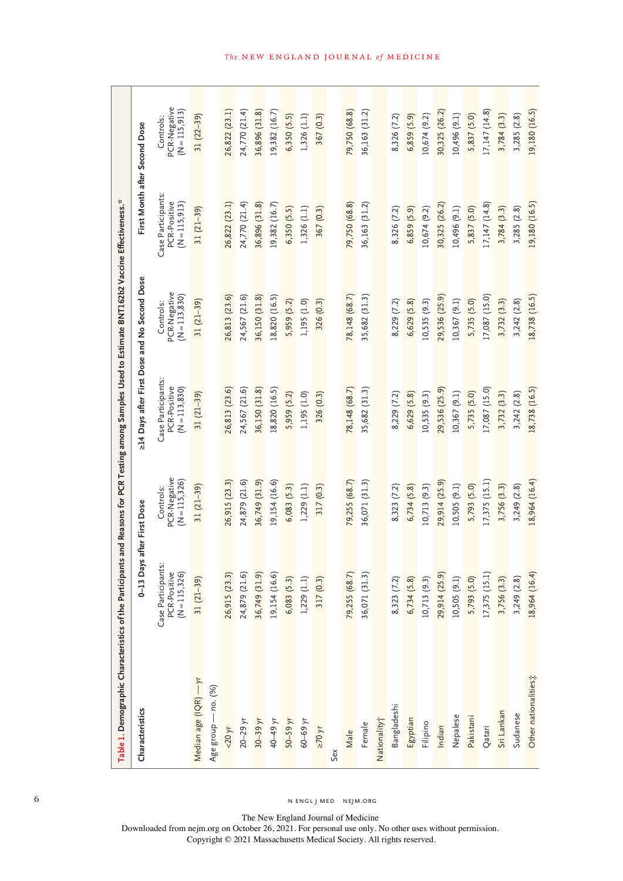| Table 1. Demographic Characteristics of the Participants |                                                     |                                           | and Reasons for PCR Testing among Samples Used to Estimate BNT162b2 Vaccine Effectiveness.* |                                            |                                                     |                                            |
|----------------------------------------------------------|-----------------------------------------------------|-------------------------------------------|---------------------------------------------------------------------------------------------|--------------------------------------------|-----------------------------------------------------|--------------------------------------------|
| Characteristics                                          | $0-13$ Days                                         | after First Dose                          | >14 Days after First Dose and No Second Dose                                                |                                            | First Month after Second Dose                       |                                            |
|                                                          | Case Participants:<br>PCR-Positive<br>(N = 115,326) | PCR-Negative<br>(N = 115,326)<br>Controls | Case Participants:<br>PCR-Positive<br>$(N = 113, 830)$                                      | PCR-Negative<br>(N = 113,830)<br>Controls: | Case Participants:<br>PCR-Positive<br>(N = 115,913) | PCR-Negative<br>(N = 115,913)<br>Controls: |
| Median age (IQR) - yr                                    | $31(21-39)$                                         | $31(21-39)$                               | $31(21-39)$                                                                                 | $31(21-39)$                                | $31(21-39)$                                         | $31(22-39)$                                |
| Age group - no. (%)                                      |                                                     |                                           |                                                                                             |                                            |                                                     |                                            |
| $<$ 20 yr                                                | 26,915 (23.3)                                       | 26,915 (23.3)                             | 26,813 (23.6)                                                                               | 26,813 (23.6)                              | 26,822 (23.1)                                       | 26,822 (23.1)                              |
| $20-29$ yr                                               | 24,879 (21.6)                                       | 24,879 (21.6)                             | 24,567 (21.6)                                                                               | 24,567 (21.6)                              | 24,770 (21.4)                                       | 24,770 (21.4)                              |
| $30-39$ yr                                               | 36,749 (31.9)                                       | 36,749 (31.9)                             | 36,150 (31.8)                                                                               | 36,150 (31.8)                              | 36,896 (31.8)                                       | 36,896 (31.8)                              |
| 40–49 уг                                                 | 19,154 (16.6)                                       | 19, 154 (16.6)                            | 18,820 (16.5)                                                                               | 18,820 (16.5)                              | 19,382 (16.7)                                       | 19,382 (16.7)                              |
| 50-59 yr                                                 | 6,083(5.3)                                          | 6,083(5.3)                                | 5,959 (5.2)                                                                                 | 5,959 (5.2)                                | 6,350(5.5)                                          | 6,350(5.5)                                 |
| $60 - 69$ yr                                             | 1,229(1.1)                                          | 1,229(1.1)                                | 1,195 (1.0)                                                                                 | 1,195 (1.0)                                | 1,326(1.1)                                          | 1,326 (1.1)                                |
| $\geq 70$ yr                                             | 317 (0.3)                                           | 317 (0.3)                                 | 326 (0.3)                                                                                   | 326 (0.3)                                  | 367 (0.3)                                           | 367 (0.3)                                  |
| Sex                                                      |                                                     |                                           |                                                                                             |                                            |                                                     |                                            |
| Male                                                     | 79,255 (68.7)                                       | 79,255 (68.7)                             | 78,148 (68.7)                                                                               | 78,148 (68.7)                              | 79,750 (68.8)                                       | 79,750 (68.8)                              |
| Female                                                   | 36,071 (31.3)                                       | 36,071 (31.3)                             | 35,682 (31.3)                                                                               | 35,682 (31.3)                              | 36,163 (31.2)                                       | 36,163 (31.2)                              |
| Nationality <sup>+</sup>                                 |                                                     |                                           |                                                                                             |                                            |                                                     |                                            |
| Bangladeshi                                              | 8,323 (7.2)                                         | 8,323 (7.2)                               | 8,229 (7.2)                                                                                 | 8,229 (7.2)                                | 8,326 (7.2)                                         | 8,326 (7.2)                                |
| Egyptian                                                 | 6,734(5.8)                                          | 6,734(5.8)                                | 6,629(5.8)                                                                                  | $6,629$ $(5.8)$                            | 6,859(5.9)                                          | 6,859(5.9)                                 |
| Filipino                                                 | 10,713 (9.3)                                        | 10,713 (9.3)                              | 10,535 (9.3)                                                                                | 10,535 (9.3)                               | 10,674 (9.2)                                        | 10,674 (9.2)                               |
| Indian                                                   | 29,914 (25.9)                                       | 29,914 (25.9)                             | 29,536 (25.9)                                                                               | 29,536 (25.9)                              | 30,325 (26.2)                                       | 30,325 (26.2)                              |
| Nepalese                                                 | 10,505(9.1)                                         | 10,505 (9.1)                              | 10,367 (9.1)                                                                                | 10,367 (9.1)                               | 10,496 (9.1)                                        | 10,496 (9.1)                               |
| Pakistani                                                | 5,793 (5.0)                                         | 5,793 (5.0)                               | 5,735 (5.0)                                                                                 | 5,735 (5.0)                                | 5,837 (5.0)                                         | 5,837 (5.0)                                |
| Qatari                                                   | 17,375(15.1)                                        | 17,375 (15.1)                             | 17,087 (15.0)                                                                               | 17,087 (15.0)                              | 17, 147 (14.8)                                      | 17, 147 (14.8)                             |
| Sri Lankan                                               | 3,756 (3.3)                                         | 3,756 (3.3)                               | 3,732(3.3)                                                                                  | 3,732(3.3)                                 | 3,784(3.3)                                          | 3,784(3.3)                                 |
| Sudanese                                                 | 3,249(2.8)                                          | $3,249$ $(2.8)$                           | 3,242(2.8)                                                                                  | 3,242(2.8)                                 | 3,285(2.8)                                          | 3,285(2.8)                                 |
| Other nationalities;                                     | 18,964 (16.4)                                       | 18,964 (16.4)                             | 18,738 (16.5)                                                                               | 18,738 (16.5)                              | 19,180 (16.5)                                       | 19,180 (16.5)                              |

6 N ENGL J MED NEJM.ORG

The New England Journal of Medicine

Downloaded from nejm.org on October 26, 2021. For personal use only. No other uses without permission. Copyright © 2021 Massachusetts Medical Society. All rights reserved.

# *The* NEW ENGLAND JOURNAL *of* MEDICINE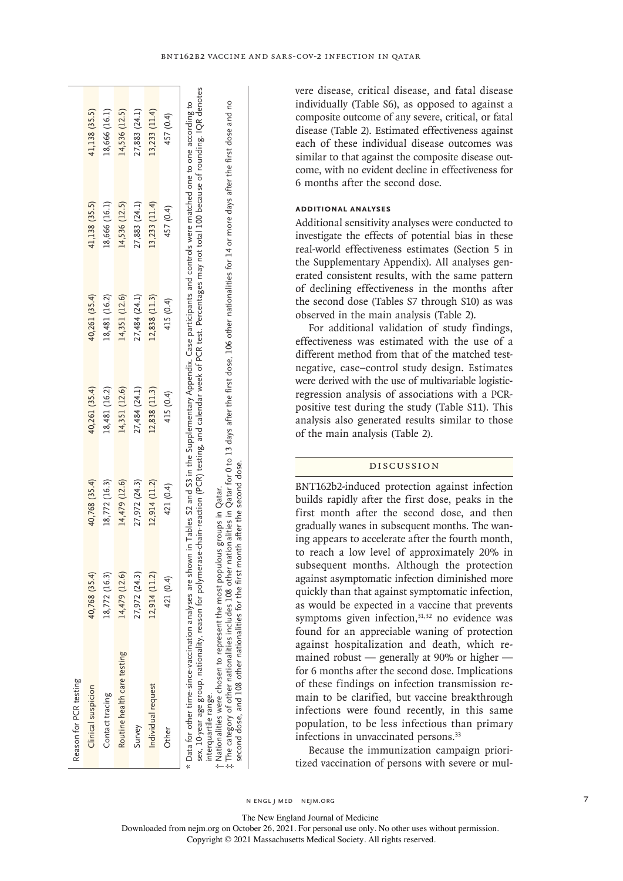| Reason for PCR testing                                                                                                                                                                                                                                                                                                                                                                              |               |               |               |               |               |               |
|-----------------------------------------------------------------------------------------------------------------------------------------------------------------------------------------------------------------------------------------------------------------------------------------------------------------------------------------------------------------------------------------------------|---------------|---------------|---------------|---------------|---------------|---------------|
| Clinical suspicion                                                                                                                                                                                                                                                                                                                                                                                  | 40,768 (35.4) | 40,768 (35.4) | 40,261 (35.4) | 40,261 (35.4) | 41,138 (35.5) | 41,138 (35.5) |
| Contact tracing                                                                                                                                                                                                                                                                                                                                                                                     | 18,772 (16.3) | 18,772 (16.3) | 18,481 (16.2) | 18,481 (16.2) | 18,666 (16.1) | 18,666 (16.1) |
| Routine health care testing                                                                                                                                                                                                                                                                                                                                                                         | 14,479 (12.6) | 14,479 (12.6) | 14,351 (12.6) | 14,351 (12.6) | 14,536 (12.5) | 14,536 (12.5) |
| Survey                                                                                                                                                                                                                                                                                                                                                                                              | 27,972 (24.3) | 27,972 (24.3) | 27,484 (24.1) | 27,484 (24.1) | 27,883 (24.1) | 27,883 (24.1) |
| Individual request                                                                                                                                                                                                                                                                                                                                                                                  | 12,914 (11.2) | 12,914 (11.2) | 12,838 (11.3) | 12,838 (11.3) | 13,233 (11.4) | 13,233 (11.4) |
| Other                                                                                                                                                                                                                                                                                                                                                                                               | 421 (0.4)     | 421 (0.4)     | 415 (0.4)     | 415 (0.4)     | 457 (0.4)     | 457 (0.4)     |
| sex, 10-year age group, nationality, reason for polymerase-chain-reaction (PCR) testing, and calendar week of PCR test. Percentages may not total 100 because of rounding. IQR denotes<br>* Data for other time-since-vaccination analyses are shown in Tables S2 and S3 in the Supplementary Appendix. Case participants and controls were matched one to one according to<br>interquartile range. |               |               |               |               |               |               |
| t Nationalities were chosen to represent the most populous groups in Qatar.                                                                                                                                                                                                                                                                                                                         |               |               |               |               |               |               |
| t The category of other nationalities includes 108 other nationalities in Qatar for 0 to 13 days after the first dose, 106 other nationalities for 14 or more days after the first dose and no                                                                                                                                                                                                      |               |               |               |               |               |               |

vere disease, critical disease, and fatal disease individually (Table S6), as opposed to against a composite outcome of any severe, critical, or fatal disease (Table 2). Estimated effectiveness against each of these individual disease outcomes was similar to that against the composite disease outcome, with no evident decline in effectiveness for 6 months after the second dose.

# **Additional Analyses**

Additional sensitivity analyses were conducted to investigate the effects of potential bias in these real-world effectiveness estimates (Section 5 in the Supplementary Appendix). All analyses generated consistent results, with the same pattern of declining effectiveness in the months after the second dose (Tables S7 through S10) as was observed in the main analysis (Table 2).

For additional validation of study findings, effectiveness was estimated with the use of a different method from that of the matched testnegative, case–control study design. Estimates were derived with the use of multivariable logisticregression analysis of associations with a PCRpositive test during the study (Table S11). This analysis also generated results similar to those of the main analysis (Table 2).

# Discussion

BNT162b2-induced protection against infection builds rapidly after the first dose, peaks in the first month after the second dose, and then gradually wanes in subsequent months. The waning appears to accelerate after the fourth month, to reach a low level of approximately 20% in subsequent months. Although the protection against asymptomatic infection diminished more quickly than that against symptomatic infection, as would be expected in a vaccine that prevents symptoms given infection,<sup>31,32</sup> no evidence was found for an appreciable waning of protection against hospitalization and death, which remained robust — generally at 90% or higher for 6 months after the second dose. Implications of these findings on infection transmission remain to be clarified, but vaccine breakthrough infections were found recently, in this same population, to be less infectious than primary infections in unvaccinated persons.<sup>33</sup>

Because the immunization campaign prioritized vaccination of persons with severe or mul-

n engl j med nejm.org 7

second dose, and 108 other nationalities for the first month after the second dose.

second dose, and 108 other nationalities for the first month after the second dose.

The New England Journal of Medicine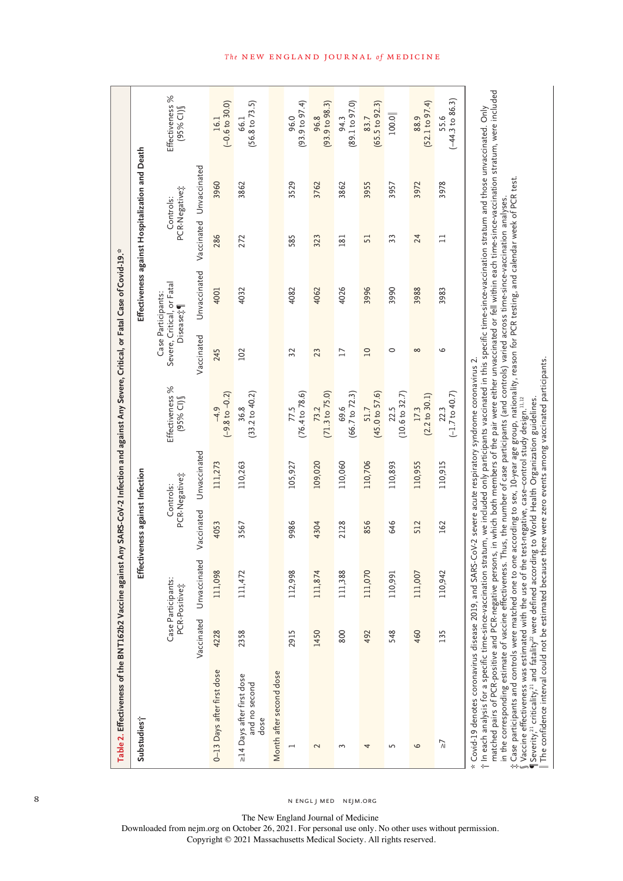| Substudies;                                                                                                                                                                                                                                                                                                                                                                                                                                                                                                                                                                                                                                                                                                                                                                                                                        |            |                                     | Effectiveness against Infection |                            |                                     |                 | Effectiveness against Hospitalization and Death                          |                            |      |                                    |
|------------------------------------------------------------------------------------------------------------------------------------------------------------------------------------------------------------------------------------------------------------------------------------------------------------------------------------------------------------------------------------------------------------------------------------------------------------------------------------------------------------------------------------------------------------------------------------------------------------------------------------------------------------------------------------------------------------------------------------------------------------------------------------------------------------------------------------|------------|-------------------------------------|---------------------------------|----------------------------|-------------------------------------|-----------------|--------------------------------------------------------------------------|----------------------------|------|------------------------------------|
|                                                                                                                                                                                                                                                                                                                                                                                                                                                                                                                                                                                                                                                                                                                                                                                                                                    |            | Case Participants:<br>PCR-Positive: |                                 | PCR-Negative‡<br>Controls: | Effectiveness %<br>(95% CI)         |                 | Severe, Critical, or Fatal<br>Case Participants:<br>Disease <sub>#</sub> | PCR-Negative‡<br>Controls: |      | Effectiveness %<br>(95% CI)        |
|                                                                                                                                                                                                                                                                                                                                                                                                                                                                                                                                                                                                                                                                                                                                                                                                                                    | Vaccinated | Unvaccinated                        | Vaccinated                      | Unvaccinated               |                                     | Vaccinated      | Unvaccinated                                                             | Vaccinated Unvaccinated    |      |                                    |
| 0-13 Days after first dose                                                                                                                                                                                                                                                                                                                                                                                                                                                                                                                                                                                                                                                                                                                                                                                                         | 4228       | 111,098                             | 4053                            | 111,273                    | $(-9.8 \text{ to } -0.2)$<br>$-4.9$ | 245             | 4001                                                                     | 286                        | 3960 | $(-0.6 to 30.0)$<br>16.1           |
| >14 Days after first dose<br>and no second<br>dose                                                                                                                                                                                                                                                                                                                                                                                                                                                                                                                                                                                                                                                                                                                                                                                 | 2358       | 111,472                             | 3567                            | 110,263                    | $(33.2 \text{ to } 40.2)$<br>36.8   | 102             | 4032                                                                     | 272                        | 3862 | $(56.8 \text{ to } 73.5)$<br>66.1  |
| Month after second dose                                                                                                                                                                                                                                                                                                                                                                                                                                                                                                                                                                                                                                                                                                                                                                                                            |            |                                     |                                 |                            |                                     |                 |                                                                          |                            |      |                                    |
| ⊣                                                                                                                                                                                                                                                                                                                                                                                                                                                                                                                                                                                                                                                                                                                                                                                                                                  | 2915       | 112,998                             | 9986                            | 105,927                    | (76.4 to 78.6)<br>77.5              | 32              | 4082                                                                     | 585                        | 3529 | (93.9 to 97.4)<br>96.0             |
| $\sim$                                                                                                                                                                                                                                                                                                                                                                                                                                                                                                                                                                                                                                                                                                                                                                                                                             | 1450       | 111,874                             | 4304                            | 109,020                    | $(71.3 \text{ to } 75.0)$<br>73.2   | 23              | 4062                                                                     | 323                        | 3762 | (93.9 to 98.3)<br>96.8             |
| 3                                                                                                                                                                                                                                                                                                                                                                                                                                                                                                                                                                                                                                                                                                                                                                                                                                  | 800        | 111,388                             | 2128                            | 110,060                    | $69.6$<br>(66.7 to 72.3)            | $\overline{17}$ | 4026                                                                     | 181                        | 3862 | (89.1 to 97.0)<br>94.3             |
| 4                                                                                                                                                                                                                                                                                                                                                                                                                                                                                                                                                                                                                                                                                                                                                                                                                                  | 492        | 111,070                             | 856                             | 110,706                    | (45.0 to 57.6)<br>51.7              | $\overline{10}$ | 3996                                                                     | 51                         | 3955 | $(65.5 \text{ to } 92.3)$<br>83.7  |
| 5                                                                                                                                                                                                                                                                                                                                                                                                                                                                                                                                                                                                                                                                                                                                                                                                                                  | 548        | 110,991                             | 646                             | 110,893                    | (10.6 to 32.7)<br>22.5              | $\circ$         | 3990                                                                     | 33                         | 3957 | 100.0                              |
| 6                                                                                                                                                                                                                                                                                                                                                                                                                                                                                                                                                                                                                                                                                                                                                                                                                                  | 460        | 111,007                             | 512                             | 110,955                    | (2.2 to 30.1)<br>17.3               | $\infty$        | 3988                                                                     | 24                         | 3972 | (52.1 to 97.4)<br>88.9             |
| $\overline{a}$                                                                                                                                                                                                                                                                                                                                                                                                                                                                                                                                                                                                                                                                                                                                                                                                                     | 135        | 110,942                             | 162                             | 110,915                    | $(-1.7 \text{ to } 40.7)$<br>22.3   | $\circ$         | 3983                                                                     | $\Box$                     | 3978 | $(-44.3 \text{ to } 86.3)$<br>55.6 |
| matched pairs of PCR-positive and PCR-negative persons, in which both members of the pair were either unvaccinated or fell within each time-since-vaccination stratum, were included<br>t In each analysis for a specific time-since-vaccination stratum, we included only participants vaccinated in this specific time-since-vaccination stratum and those unvaccinated. Only<br>. Case participants and controls were matched one to one according to sex, 10-year age group, nationality, reason for PCR testing, and calendar week of PCR test.<br>in the corresponding estimate of vaccine effectiveness. Thus, the number of case participants (and controls) varied across time-since-vaccination analyses<br>* Covid-19 denotes coronavirus disease 2019, and SARS-CoV-2 severe acute respiratory syndrome coronavirus 2. |            |                                     |                                 |                            |                                     |                 |                                                                          |                            |      |                                    |

Vaccine effectiveness was estimated with the use of the test-negative, case–control study design.11.12 ´´<br>|Severity,<sup>21</sup> criticality,<sup>21</sup> and fatality<sup>22</sup> were defined according to World Health Organization guidelines.<br>Th

 $\parallel$  The confidence interval could not be estimated because there were zero events among vaccinated participants.

 $\int$  Vaccine effectiveness was estimated with the use of the test-negative, case–control study design.11,12  $\P$ Severity,<sup>21</sup> criticality,<sup>21</sup> and fatality<sup>22</sup> were defined according to World Health Organization guidelines.

## The NEW ENGLAND JOURNAL of MEDICINE

8 N ENGL J MED NEJM.ORG

The New England Journal of Medicine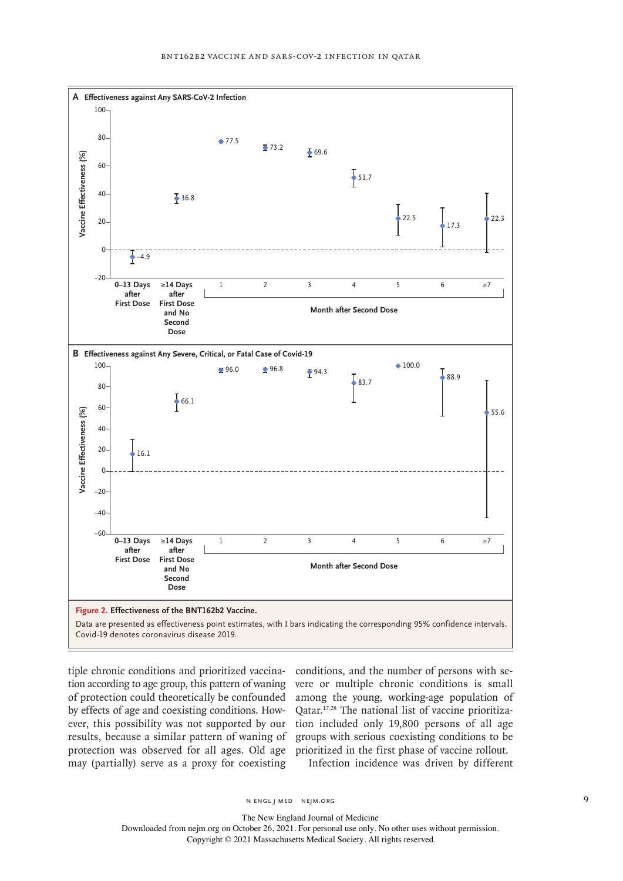

tiple chronic conditions and prioritized vaccination according to age group, this pattern of waning of protection could theoretically be confounded by effects of age and coexisting conditions. However, this possibility was not supported by our results, because a similar pattern of waning of protection was observed for all ages. Old age may (partially) serve as a proxy for coexisting

conditions, and the number of persons with severe or multiple chronic conditions is small among the young, working-age population of Qatar.17,28 The national list of vaccine prioritization included only 19,800 persons of all age groups with serious coexisting conditions to be prioritized in the first phase of vaccine rollout.

Infection incidence was driven by different

n engl j med nejm.org 9

The New England Journal of Medicine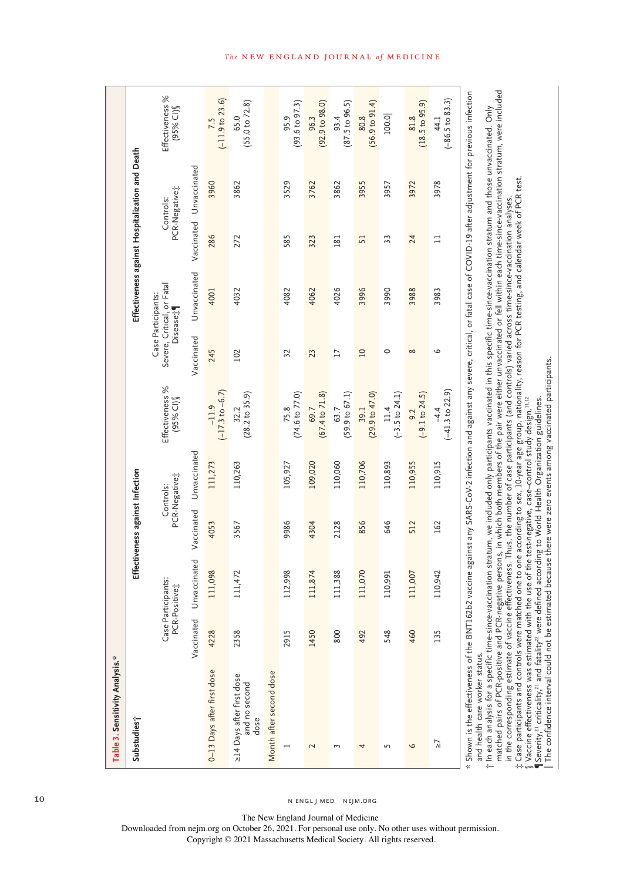| Table 3. Sensitivity Analysis.*                                                                                                                                                                                                                                                                                                                                                                                                                                                                                                                                                                                |      |                                     |                                 |                            |                                       |                 |                                                                          |        |                                                 |                                    |
|----------------------------------------------------------------------------------------------------------------------------------------------------------------------------------------------------------------------------------------------------------------------------------------------------------------------------------------------------------------------------------------------------------------------------------------------------------------------------------------------------------------------------------------------------------------------------------------------------------------|------|-------------------------------------|---------------------------------|----------------------------|---------------------------------------|-----------------|--------------------------------------------------------------------------|--------|-------------------------------------------------|------------------------------------|
| Substudies;                                                                                                                                                                                                                                                                                                                                                                                                                                                                                                                                                                                                    |      |                                     | Effectiveness against Infection |                            |                                       |                 |                                                                          |        | Effectiveness against Hospitalization and Death |                                    |
|                                                                                                                                                                                                                                                                                                                                                                                                                                                                                                                                                                                                                |      | Case Participants:<br>PCR-Positive; |                                 | PCR-Negative:<br>Controls: | Effectiveness %<br>$(95%$ CI)         |                 | Severe, Critical, or Fatal<br>Case Participants:<br>Disease <sub>1</sub> |        | PCR-Negative <sub>7</sub><br>Controls:          | Effectiveness %<br>$(95%$ CI)      |
|                                                                                                                                                                                                                                                                                                                                                                                                                                                                                                                                                                                                                |      | Vaccinated Unvaccinated             | Vaccinated                      | Unvaccinated               |                                       | Vaccinated      | Unvaccinated                                                             |        | Vaccinated Unvaccinated                         |                                    |
| 0-13 Days after first dose                                                                                                                                                                                                                                                                                                                                                                                                                                                                                                                                                                                     | 4228 | 111,098                             | 4053                            | 111,273                    | $(-17.3 \text{ to } -6.7)$<br>$-11.9$ | 245             | 4001                                                                     | 286    | 3960                                            | $7.5$<br>(-11.9 to 23.6)           |
| >14 Days after first dose<br>and no second<br>dose                                                                                                                                                                                                                                                                                                                                                                                                                                                                                                                                                             | 2358 | 111,472                             | 3567                            | 110,263                    | $(28.2 \text{ to } 35.9)$<br>32.2     | 102             | 4032                                                                     | 272    | 3862                                            | (55.0 to 72.8)<br>65.0             |
| Month after second dose                                                                                                                                                                                                                                                                                                                                                                                                                                                                                                                                                                                        |      |                                     |                                 |                            |                                       |                 |                                                                          |        |                                                 |                                    |
|                                                                                                                                                                                                                                                                                                                                                                                                                                                                                                                                                                                                                | 2915 | 112,998                             | 9986                            | 105,927                    | $(74.6 \text{ to } 77.0)$<br>75.8     | 32              | 4082                                                                     | 585    | 3529                                            | $(93.6 \text{ to } 97.3)$<br>95.9  |
| 2                                                                                                                                                                                                                                                                                                                                                                                                                                                                                                                                                                                                              | 1450 | 111,874                             | 4304                            | 109,020                    | $(67.4 \text{ to } 71.8)$<br>69.7     | 23              | 4062                                                                     | 323    | 3762                                            | (92.9 to 98.0)<br>96.3             |
| 3                                                                                                                                                                                                                                                                                                                                                                                                                                                                                                                                                                                                              | 800  | 111,388                             | 2128                            | 110,060                    | $(59.9 \text{ to } 67.1)$<br>63.7     | $\overline{17}$ | 4026                                                                     | 181    | 3862                                            | (87.5 to 96.5)<br>93.4             |
| 4                                                                                                                                                                                                                                                                                                                                                                                                                                                                                                                                                                                                              | 492  | 111,070                             | 856                             | 110,706                    | (29.9 to 47.0)<br>39.1                | $\overline{a}$  | 3996                                                                     | 51     | 3955                                            | (56.9 to 91.4)<br>80.8             |
| 5                                                                                                                                                                                                                                                                                                                                                                                                                                                                                                                                                                                                              | 548  | 110,991                             | 646                             | 110,893                    | $(-3.5 \text{ to } 24.1)$<br>$11.4$   | 0               | 3990                                                                     | 33     | 3957                                            | 100.0                              |
| 9                                                                                                                                                                                                                                                                                                                                                                                                                                                                                                                                                                                                              | 460  | 111,007                             | 512                             | 110,955                    | $(-9.1 to 24.5)$<br>9.2               | $\infty$        | 3988                                                                     | 24     | 3972                                            | (18.5 to 95.9)<br>81.8             |
| $\overline{\lambda}$                                                                                                                                                                                                                                                                                                                                                                                                                                                                                                                                                                                           | 135  | 110,942                             | 162                             | 110,915                    | $(-41.3 \text{ to } 22.9)$<br>$-4.4$  | م               | 3983                                                                     | $\Box$ | 3978                                            | $(-86.5 \text{ to } 83.3)$<br>44.1 |
| matched pairs of PCR-positive and PCR-negative persons, in which both members of the pair were either unvaccinated or fell within each time-since-vaccination stratum, were included<br>* Shown is the effectiveness of the BNT162b2 vaccine against any SARS-COV-2 infection and against any severe, critical, or fatal case of COVID-19 after adjustment for previous infection<br>t In each analysis for a specific time-since-vaccination stratum, we included only participants vaccinated in this specific time-since-vaccination stratum and those unvaccinated. Only<br>and health care worker status. |      |                                     |                                 |                            |                                       |                 |                                                                          |        |                                                 |                                    |

in the corresponding estimate of vaccine effectiveness. Thus, the number of case participants (and controls) varied across time-since-vaccination analyses. in the corresponding estimate of vaccine effectiveness. Thus, the number of case participants (and controls) varied across time-since-vaccination analyses.<br>- Case participants and controls were matched one to one according Case participants and controls were matched one to one according to sex, 10-year age group, nationality, reason for PCR testing, and calendar week of PCR test.

§

 $\int$  Vaccine effectiveness was estimated with the use of the test-negative, case–control study design.<sup>11,12</sup>  $\P$ Severity,<sup>21</sup> criticality,<sup>21</sup> and fatality<sup>22</sup> were defined according to World Health Organization guidelines.  $\parallel$  The confidence interval could not be estimated because there were zero events among vaccinated participants.

, we measure the control of the section of the section of the section of the conditional section of the confidence interval could not be estimated because there were zero events among vaccinated participants.<br>The confidenc

## The NEW ENGLAND JOURNAL of MEDICINE

10 NEMSLJMED NEJM.ORG

The New England Journal of Medicine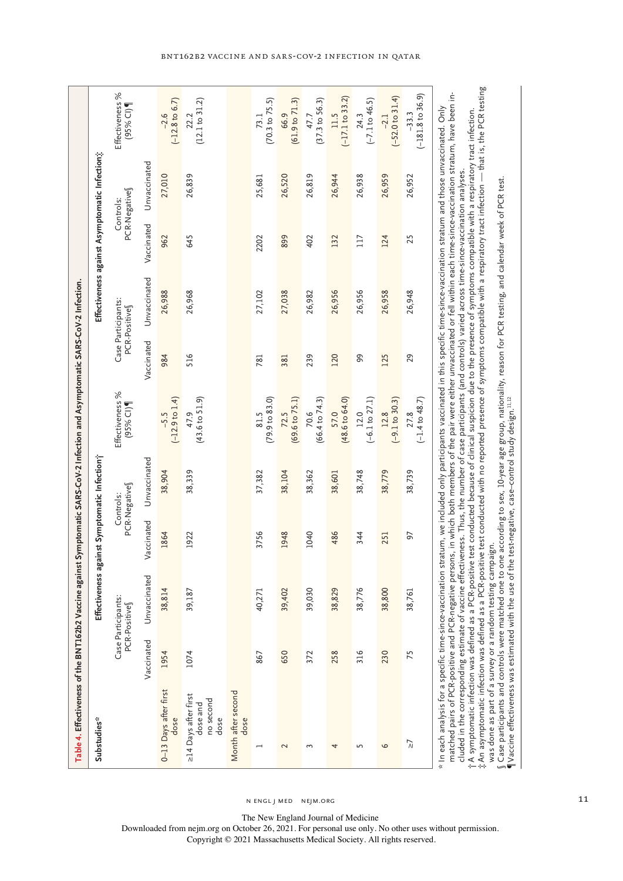| Table 4. Effectiveness of the BNT162b2 Vaccine against Symptomatic SARS-CoV-2 Infection and Asymptomatic SARS-CoV-2 Infection.                                                                                                                                                                                                                                                                                                                                                                                                                                                                                                                                                                                                                                                                                                                                                                                                                                               |            |                                    |                      |                           |                                                                                                                              |            |                                    |            |                                               |                                                                                                                               |
|------------------------------------------------------------------------------------------------------------------------------------------------------------------------------------------------------------------------------------------------------------------------------------------------------------------------------------------------------------------------------------------------------------------------------------------------------------------------------------------------------------------------------------------------------------------------------------------------------------------------------------------------------------------------------------------------------------------------------------------------------------------------------------------------------------------------------------------------------------------------------------------------------------------------------------------------------------------------------|------------|------------------------------------|----------------------|---------------------------|------------------------------------------------------------------------------------------------------------------------------|------------|------------------------------------|------------|-----------------------------------------------|-------------------------------------------------------------------------------------------------------------------------------|
| Substudies*                                                                                                                                                                                                                                                                                                                                                                                                                                                                                                                                                                                                                                                                                                                                                                                                                                                                                                                                                                  |            | Effectiveness again                |                      | st Symptomatic Infection; |                                                                                                                              |            |                                    |            | Effectiveness against Asymptomatic Infection; |                                                                                                                               |
|                                                                                                                                                                                                                                                                                                                                                                                                                                                                                                                                                                                                                                                                                                                                                                                                                                                                                                                                                                              |            | Case Participants:<br>PCR-Positive |                      | PCR-Negative<br>Controls: | Effectiveness %<br>$(95%$ Cl)                                                                                                |            | Case Participants:<br>PCR-Positive |            | PCR-Negative<br>Controls:                     | Effectiveness %<br>$(95%$ CI)                                                                                                 |
|                                                                                                                                                                                                                                                                                                                                                                                                                                                                                                                                                                                                                                                                                                                                                                                                                                                                                                                                                                              | Vaccinated | Unvaccinated                       | <b>ccinated</b><br>S | Unvaccinated              |                                                                                                                              | Vaccinated | Unvaccinated                       | Vaccinated | Unvaccinated                                  |                                                                                                                               |
| 0-13 Days after first<br>dose                                                                                                                                                                                                                                                                                                                                                                                                                                                                                                                                                                                                                                                                                                                                                                                                                                                                                                                                                | 1954       | 38,814                             | 1864                 | 38,904                    | $(-12.9 to 1.4)$<br>$-5.5$                                                                                                   | 984        | 26,988                             | 962        | 27,010                                        | $(-12.8 \text{ to } 6.7)$<br>$-2.6$                                                                                           |
| >14 Days after first<br>no second<br>dose and<br>dose                                                                                                                                                                                                                                                                                                                                                                                                                                                                                                                                                                                                                                                                                                                                                                                                                                                                                                                        | 1074       | 39,187                             | 1922                 | 38,339                    | $(43.6 \text{ to } 51.9)$<br>47.9                                                                                            | 516        | 26,968                             | 645        | 26,839                                        | (12.1 to 31.2)<br>22.2                                                                                                        |
| Month after second<br>dose                                                                                                                                                                                                                                                                                                                                                                                                                                                                                                                                                                                                                                                                                                                                                                                                                                                                                                                                                   |            |                                    |                      |                           |                                                                                                                              |            |                                    |            |                                               |                                                                                                                               |
|                                                                                                                                                                                                                                                                                                                                                                                                                                                                                                                                                                                                                                                                                                                                                                                                                                                                                                                                                                              | 867        | 40,271                             | 3756                 | 37,382                    | (79.9 to 83.0)<br>81.5                                                                                                       | 781        | 27,102                             | 2202       | 25,681                                        | $(70.3 \text{ to } 75.5)$<br>73.1                                                                                             |
| 2                                                                                                                                                                                                                                                                                                                                                                                                                                                                                                                                                                                                                                                                                                                                                                                                                                                                                                                                                                            | 650        | 39,402                             | 1948                 | 38,104                    | $(69.6 \text{ to } 75.1)$<br>72.5                                                                                            | 381        | 27,038                             | 899        | 26,520                                        | (61.9 to 71.3)<br>66.9                                                                                                        |
| 3                                                                                                                                                                                                                                                                                                                                                                                                                                                                                                                                                                                                                                                                                                                                                                                                                                                                                                                                                                            | 372        | 39,030                             | 1040                 | 38,362                    | $(66.4 \text{ to } 74.3)$<br>70.6                                                                                            | 239        | 26,982                             | 402        | 26,819                                        | (37.3 to 56.3)<br>47.7                                                                                                        |
| 4                                                                                                                                                                                                                                                                                                                                                                                                                                                                                                                                                                                                                                                                                                                                                                                                                                                                                                                                                                            | 258        | 38,829                             | 486                  | 38,601                    | $(48.6 \text{ to } 64.0)$<br>57.0                                                                                            | 120        | 26,956                             | 132        | 26,944                                        | $(-17.1$ to 33.2)<br>11.5                                                                                                     |
| 5                                                                                                                                                                                                                                                                                                                                                                                                                                                                                                                                                                                                                                                                                                                                                                                                                                                                                                                                                                            | 316        | 38,776                             | 344                  | 38,748                    | $(-6.1 to 27.1)$<br>12.0                                                                                                     | 99         | 26,956                             | 117        | 26,938                                        | $(-7.1 to 46.5)$<br>24.3                                                                                                      |
| $\circ$                                                                                                                                                                                                                                                                                                                                                                                                                                                                                                                                                                                                                                                                                                                                                                                                                                                                                                                                                                      | 230        | 38,800                             | 251                  | 38,779                    | $(-9.1 to 30.3)$<br>12.8                                                                                                     | 125        | 26,958                             | 124        | 26,959                                        | $(-52.0 to 31.4)$<br>$-2.1$                                                                                                   |
| $\bar{\mathbf{a}}$                                                                                                                                                                                                                                                                                                                                                                                                                                                                                                                                                                                                                                                                                                                                                                                                                                                                                                                                                           | 75         | 38,761                             | 50                   | 38,739                    | $(-1.4 to 48.7)$<br>27.8                                                                                                     | 29         | 26,948                             | 25         | 26,952                                        | $(-181.8 to 36.9)$<br>$-33.3$                                                                                                 |
| * In each analysis for a specific time-since-vaccination stratum, we included only participants vaccinated in this specific time-since-vaccination stratum and those unvaccinated. Only<br>↑A symptomatic infection was defined as a PCR-positive test conducted because of clinical suspicion due to the presence of symptoms compatible with a respiratory tract infection.<br>cluded in the corresponding estimate of vaccine effectiveness. Thus, the number of case participants (and controls) varied across time-since-vaccination analyses.<br>∫ Case participants and controls were matched one to one according to sex, 10-year age group, nationality, reason for PCR testing, and calendar week of PCR test.<br>¶Vaccine effectiveness was estimated with the use of the te<br>was done as part of a survey or a random testing campaign.<br>matched pairs of PCR-positive and PCR-negative persons,<br>#An asymptomatic infection was defined as a PCR-positive |            |                                    |                      |                           | in which both members of the pair were either unvaccinated or fell within each time-since-vaccination stratum, have been in- |            |                                    |            |                                               | test conducted with no reported presence of symptoms compatible with a respiratory tract infection — that is, the PCR testing |

n engl j med nejm.org 11

The New England Journal of Medicine

Downloaded from nejm.org on October 26, 2021. For personal use only. No other uses without permission. Copyright © 2021 Massachusetts Medical Society. All rights reserved.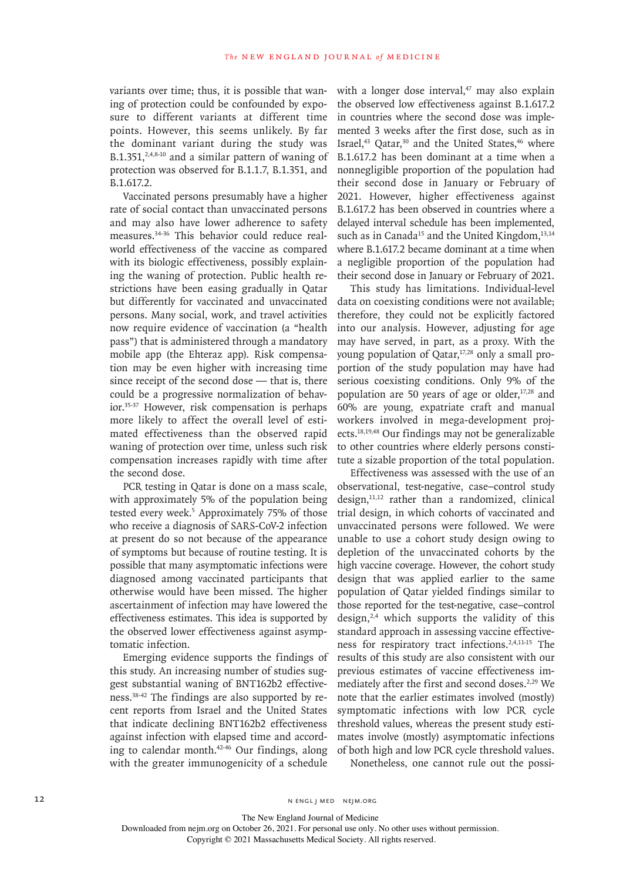variants over time; thus, it is possible that waning of protection could be confounded by exposure to different variants at different time points. However, this seems unlikely. By far the dominant variant during the study was B.1.351, $2,4,8-10$  and a similar pattern of waning of protection was observed for B.1.1.7, B.1.351, and B.1.617.2.

Vaccinated persons presumably have a higher rate of social contact than unvaccinated persons and may also have lower adherence to safety measures.34-36 This behavior could reduce realworld effectiveness of the vaccine as compared with its biologic effectiveness, possibly explaining the waning of protection. Public health restrictions have been easing gradually in Qatar but differently for vaccinated and unvaccinated persons. Many social, work, and travel activities now require evidence of vaccination (a "health pass") that is administered through a mandatory mobile app (the Ehteraz app). Risk compensation may be even higher with increasing time since receipt of the second dose — that is, there could be a progressive normalization of behavior.35-37 However, risk compensation is perhaps more likely to affect the overall level of estimated effectiveness than the observed rapid waning of protection over time, unless such risk compensation increases rapidly with time after the second dose.

PCR testing in Qatar is done on a mass scale, with approximately 5% of the population being tested every week.<sup>5</sup> Approximately 75% of those who receive a diagnosis of SARS-CoV-2 infection at present do so not because of the appearance of symptoms but because of routine testing. It is possible that many asymptomatic infections were diagnosed among vaccinated participants that otherwise would have been missed. The higher ascertainment of infection may have lowered the effectiveness estimates. This idea is supported by the observed lower effectiveness against asymptomatic infection.

Emerging evidence supports the findings of this study. An increasing number of studies suggest substantial waning of BNT162b2 effectiveness.38-42 The findings are also supported by recent reports from Israel and the United States that indicate declining BNT162b2 effectiveness against infection with elapsed time and according to calendar month.42-46 Our findings, along with the greater immunogenicity of a schedule

with a longer dose interval, $47$  may also explain the observed low effectiveness against B.1.617.2 in countries where the second dose was implemented 3 weeks after the first dose, such as in Israel,<sup>43</sup> Qatar,<sup>30</sup> and the United States,<sup>46</sup> where B.1.617.2 has been dominant at a time when a nonnegligible proportion of the population had their second dose in January or February of 2021. However, higher effectiveness against B.1.617.2 has been observed in countries where a delayed interval schedule has been implemented, such as in Canada<sup>15</sup> and the United Kingdom, $13,14$ where B.1.617.2 became dominant at a time when a negligible proportion of the population had their second dose in January or February of 2021.

This study has limitations. Individual-level data on coexisting conditions were not available; therefore, they could not be explicitly factored into our analysis. However, adjusting for age may have served, in part, as a proxy. With the young population of Qatar,<sup>17,28</sup> only a small proportion of the study population may have had serious coexisting conditions. Only 9% of the population are 50 years of age or older, $17,28$  and 60% are young, expatriate craft and manual workers involved in mega-development projects.18,19,48 Our findings may not be generalizable to other countries where elderly persons constitute a sizable proportion of the total population.

Effectiveness was assessed with the use of an observational, test-negative, case–control study design,11,12 rather than a randomized, clinical trial design, in which cohorts of vaccinated and unvaccinated persons were followed. We were unable to use a cohort study design owing to depletion of the unvaccinated cohorts by the high vaccine coverage. However, the cohort study design that was applied earlier to the same population of Qatar yielded findings similar to those reported for the test-negative, case–control design, $2,4$  which supports the validity of this standard approach in assessing vaccine effectiveness for respiratory tract infections.2,4,11-15 The results of this study are also consistent with our previous estimates of vaccine effectiveness immediately after the first and second doses.2,29 We note that the earlier estimates involved (mostly) symptomatic infections with low PCR cycle threshold values, whereas the present study estimates involve (mostly) asymptomatic infections of both high and low PCR cycle threshold values.

Nonetheless, one cannot rule out the possi-

12 N ENGL J MED NEJM.ORG

The New England Journal of Medicine

Downloaded from nejm.org on October 26, 2021. For personal use only. No other uses without permission.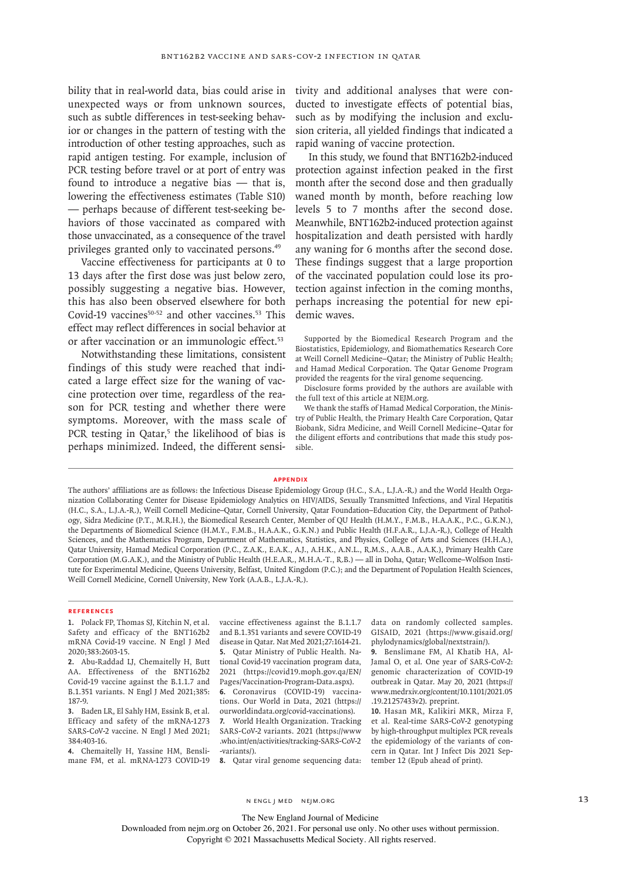bility that in real-world data, bias could arise in unexpected ways or from unknown sources, such as subtle differences in test-seeking behavior or changes in the pattern of testing with the introduction of other testing approaches, such as rapid antigen testing. For example, inclusion of PCR testing before travel or at port of entry was found to introduce a negative bias — that is, lowering the effectiveness estimates (Table S10) — perhaps because of different test-seeking behaviors of those vaccinated as compared with those unvaccinated, as a consequence of the travel privileges granted only to vaccinated persons.49

Vaccine effectiveness for participants at 0 to 13 days after the first dose was just below zero, possibly suggesting a negative bias. However, this has also been observed elsewhere for both Covid-19 vaccines $50-52$  and other vaccines.<sup>53</sup> This effect may reflect differences in social behavior at or after vaccination or an immunologic effect.<sup>53</sup>

Notwithstanding these limitations, consistent findings of this study were reached that indicated a large effect size for the waning of vaccine protection over time, regardless of the reason for PCR testing and whether there were symptoms. Moreover, with the mass scale of PCR testing in Qatar,<sup>5</sup> the likelihood of bias is perhaps minimized. Indeed, the different sensitivity and additional analyses that were conducted to investigate effects of potential bias, such as by modifying the inclusion and exclusion criteria, all yielded findings that indicated a rapid waning of vaccine protection.

In this study, we found that BNT162b2-induced protection against infection peaked in the first month after the second dose and then gradually waned month by month, before reaching low levels 5 to 7 months after the second dose. Meanwhile, BNT162b2-induced protection against hospitalization and death persisted with hardly any waning for 6 months after the second dose. These findings suggest that a large proportion of the vaccinated population could lose its protection against infection in the coming months, perhaps increasing the potential for new epidemic waves.

Supported by the Biomedical Research Program and the Biostatistics, Epidemiology, and Biomathematics Research Core at Weill Cornell Medicine–Qatar; the Ministry of Public Health; and Hamad Medical Corporation. The Qatar Genome Program provided the reagents for the viral genome sequencing.

Disclosure forms provided by the authors are available with the full text of this article at NEJM.org.

We thank the staffs of Hamad Medical Corporation, the Ministry of Public Health, the Primary Health Care Corporation, Qatar Biobank, Sidra Medicine, and Weill Cornell Medicine–Qatar for the diligent efforts and contributions that made this study possible.

#### **Appendix**

The authors' affiliations are as follows: the Infectious Disease Epidemiology Group (H.C., S.A., L.J.A.-R.) and the World Health Organization Collaborating Center for Disease Epidemiology Analytics on HIV/AIDS, Sexually Transmitted Infections, and Viral Hepatitis (H.C., S.A., L.J.A.-R.), Weill Cornell Medicine–Qatar, Cornell University, Qatar Foundation–Education City, the Department of Pathology, Sidra Medicine (P.T., M.R.H.), the Biomedical Research Center, Member of QU Health (H.M.Y., F.M.B., H.A.A.K., P.C., G.K.N.), the Departments of Biomedical Science (H.M.Y., F.M.B., H.A.A.K., G.K.N.) and Public Health (H.F.A.R., L.J.A.-R.), College of Health Sciences, and the Mathematics Program, Department of Mathematics, Statistics, and Physics, College of Arts and Sciences (H.H.A.), Qatar University, Hamad Medical Corporation (P.C., Z.A.K., E.A.K., A.J., A.H.K., A.N.L., R.M.S., A.A.B., A.A.K.), Primary Health Care Corporation (M.G.A.K.), and the Ministry of Public Health (H.E.A.R., M.H.A.-T., R.B.) — all in Doha, Qatar; Wellcome–Wolfson Institute for Experimental Medicine, Queens University, Belfast, United Kingdom (P.C.); and the Department of Population Health Sciences, Weill Cornell Medicine, Cornell University, New York (A.A.B., L.J.A.-R.).

#### **References**

**1.** Polack FP, Thomas SJ, Kitchin N, et al. Safety and efficacy of the BNT162b2 mRNA Covid-19 vaccine. N Engl J Med 2020;383:2603-15.

**2.** Abu-Raddad LJ, Chemaitelly H, Butt AA. Effectiveness of the BNT162b2 Covid-19 vaccine against the B.1.1.7 and B.1.351 variants. N Engl J Med 2021;385: 187-9.

**3.** Baden LR, El Sahly HM, Essink B, et al. Efficacy and safety of the mRNA-1273 SARS-CoV-2 vaccine. N Engl J Med 2021; 384:403-16.

**4.** Chemaitelly H, Yassine HM, Benslimane FM, et al. mRNA-1273 COVID-19

vaccine effectiveness against the B.1.1.7 and B.1.351 variants and severe COVID-19 disease in Qatar. Nat Med 2021;27:1614-21. **5.** Qatar Ministry of Public Health. National Covid-19 vaccination program data, 2021 (https://covid19.moph.gov.qa/EN/ Pages/Vaccination-Program-Data.aspx). **6.** Coronavirus (COVID-19) vaccina-

tions. Our World in Data, 2021 (https:// ourworldindata.org/covid-vaccinations).

**7.** World Health Organization. Tracking SARS-CoV-2 variants. 2021 (https://www .who.int/en/activities/tracking-SARS-CoV-2 -variants/).

**8.** Qatar viral genome sequencing data:

data on randomly collected samples. GISAID, 2021 (https://www.gisaid.org/ phylodynamics/global/nextstrain/).

**9.** Benslimane FM, Al Khatib HA, Al-Jamal O, et al. One year of SARS-CoV-2: genomic characterization of COVID-19 outbreak in Qatar. May 20, 2021 (https:// www.medrxiv.org/content/10.1101/2021.05 .19.21257433v2). preprint.

**10.** Hasan MR, Kalikiri MKR, Mirza F, et al. Real-time SARS-CoV-2 genotyping by high-throughput multiplex PCR reveals the epidemiology of the variants of concern in Qatar. Int J Infect Dis 2021 September 12 (Epub ahead of print).

N ENGL J MED NEJM.ORG 13

The New England Journal of Medicine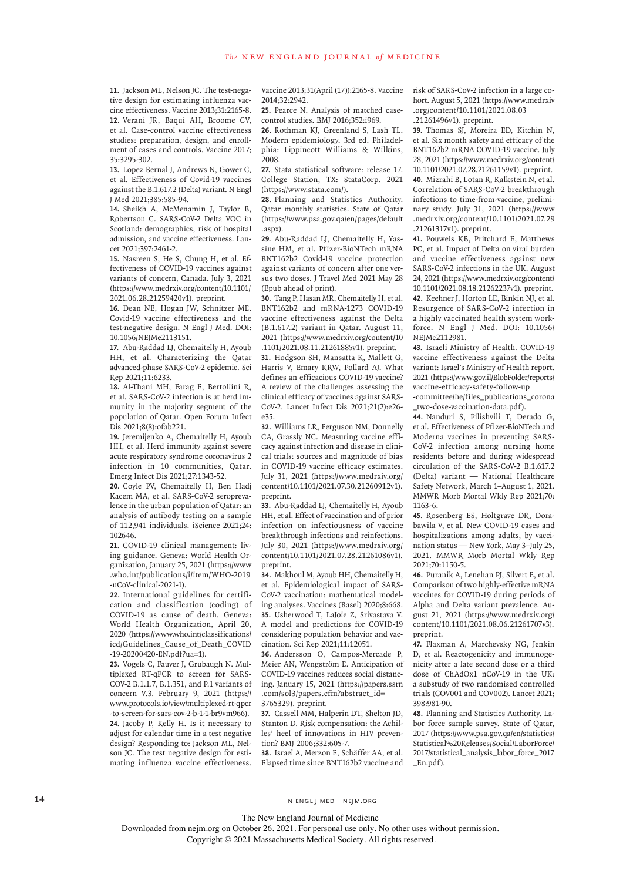**11.** Jackson ML, Nelson JC. The test-negative design for estimating influenza vaccine effectiveness. Vaccine 2013;31:2165-8. **12.** Verani JR, Baqui AH, Broome CV, et al. Case-control vaccine effectiveness studies: preparation, design, and enrollment of cases and controls. Vaccine 2017; 35:3295-302.

**13.** Lopez Bernal J, Andrews N, Gower C, et al. Effectiveness of Covid-19 vaccines against the B.1.617.2 (Delta) variant. N Engl J Med 2021;385:585-94.

**14.** Sheikh A, McMenamin J, Taylor B, Robertson C. SARS-CoV-2 Delta VOC in Scotland: demographics, risk of hospital admission, and vaccine effectiveness. Lancet 2021;397:2461-2.

**15.** Nasreen S, He S, Chung H, et al. Effectiveness of COVID-19 vaccines against variants of concern, Canada. July 3, 2021 (https://www.medrxiv.org/content/10.1101/ 2021.06.28.21259420v1). preprint.

**16.** Dean NE, Hogan JW, Schnitzer ME. Covid-19 vaccine effectiveness and the test-negative design. N Engl J Med. DOI: 10.1056/NEJMe2113151.

**17.** Abu-Raddad LJ, Chemaitelly H, Ayoub HH, et al. Characterizing the Qatar advanced-phase SARS-CoV-2 epidemic. Sci Rep 2021;11:6233.

**18.** Al-Thani MH, Farag E, Bertollini R, et al. SARS-CoV-2 infection is at herd immunity in the majority segment of the population of Qatar. Open Forum Infect Dis 2021;8(8):ofab221.

**19.** Jeremijenko A, Chemaitelly H, Ayoub HH, et al. Herd immunity against severe acute respiratory syndrome coronavirus 2 infection in 10 communities, Qatar. Emerg Infect Dis 2021;27:1343-52.

**20.** Coyle PV, Chemaitelly H, Ben Hadj Kacem MA, et al. SARS-CoV-2 seroprevalence in the urban population of Qatar: an analysis of antibody testing on a sample of 112,941 individuals. iScience 2021;24: 102646.

**21.** COVID-19 clinical management: living guidance. Geneva: World Health Organization, January 25, 2021 (https://www .who.int/publications/i/item/WHO-2019 -nCoV-clinical-2021-1).

**22.** International guidelines for certification and classification (coding) of COVID-19 as cause of death. Geneva: World Health Organization, April 20, 2020 (https://www.who.int/classifications/ icd/Guidelines\_Cause\_of\_Death\_COVID -19-20200420-EN.pdf?ua=1).

**23.** Vogels C, Fauver J, Grubaugh N. Multiplexed RT-qPCR to screen for SARS-COV-2 B.1.1.7, B.1.351, and P.1 variants of concern V.3. February 9, 2021 (https:// www.protocols.io/view/multiplexed-rt-qpcr -to-screen-for-sars-cov-2-b-1-1-br9vm966). **24.** Jacoby P, Kelly H. Is it necessary to adjust for calendar time in a test negative design? Responding to: Jackson ML, Nelson JC. The test negative design for estimating influenza vaccine effectiveness.

Vaccine 2013;31(April (17)):2165-8. Vaccine risk of SARS-CoV-2 infection in a large co-2014;32:2942.

**25.** Pearce N. Analysis of matched casecontrol studies. BMJ 2016;352:i969.

**26.** Rothman KJ, Greenland S, Lash TL. Modern epidemiology. 3rd ed. Philadelphia: Lippincott Williams & Wilkins, 2008.

**27.** Stata statistical software: release 17. College Station, TX: StataCorp. 2021 (https://www.stata.com/).

**28.** Planning and Statistics Authority. Qatar monthly statistics. State of Qatar (https://www.psa.gov.qa/en/pages/default .aspx).

**29.** Abu-Raddad LJ, Chemaitelly H, Yassine HM, et al. Pfizer-BioNTech mRNA BNT162b2 Covid-19 vaccine protection against variants of concern after one versus two doses. J Travel Med 2021 May 28 (Epub ahead of print).

**30.** Tang P, Hasan MR, Chemaitelly H, et al. BNT162b2 and mRNA-1273 COVID-19 vaccine effectiveness against the Delta (B.1.617.2) variant in Qatar. August 11, 2021 (https://www.medrxiv.org/content/10 .1101/2021.08.11.21261885v1). preprint. **31.** Hodgson SH, Mansatta K, Mallett G, Harris V, Emary KRW, Pollard AJ. What defines an efficacious COVID-19 vaccine? A review of the challenges assessing the clinical efficacy of vaccines against SARS-CoV-2. Lancet Infect Dis 2021;21(2):e26 e35.

**32.** Williams LR, Ferguson NM, Donnelly CA, Grassly NC. Measuring vaccine efficacy against infection and disease in clinical trials: sources and magnitude of bias in COVID-19 vaccine efficacy estimates. July 31, 2021 (https://www.medrxiv.org/ content/10.1101/2021.07.30.21260912v1). preprint.

**33.** Abu-Raddad LJ, Chemaitelly H, Ayoub HH, et al. Effect of vaccination and of prior infection on infectiousness of vaccine breakthrough infections and reinfections. July 30, 2021 (https://www.medrxiv.org/ content/10.1101/2021.07.28.21261086v1). preprint.

**34.** Makhoul M, Ayoub HH, Chemaitelly H, et al. Epidemiological impact of SARS-CoV-2 vaccination: mathematical modeling analyses. Vaccines (Basel) 2020;8:668. **35.** Usherwood T, LaJoie Z, Srivastava V. A model and predictions for COVID-19 considering population behavior and vaccination. Sci Rep 2021;11:12051.

**36.** Andersson O, Campos-Mercade P, Meier AN, Wengström E. Anticipation of COVID-19 vaccines reduces social distancing. January 15, 2021 (https://papers.ssrn .com/sol3/papers.cfm?abstract\_id= 3765329). preprint.

**37.** Cassell MM, Halperin DT, Shelton JD, Stanton D. Risk compensation: the Achilles' heel of innovations in HIV prevention? BMJ 2006;332:605-7.

**38.** Israel A, Merzon E, Schäffer AA, et al. Elapsed time since BNT162b2 vaccine and hort. August 5, 2021 (https://www.medrxiv .org/content/10.1101/2021.08.03 .21261496v1). preprint.

**39.** Thomas SJ, Moreira ED, Kitchin N, et al. Six month safety and efficacy of the BNT162b2 mRNA COVID-19 vaccine. July 28, 2021 (https://www.medrxiv.org/content/ 10.1101/2021.07.28.21261159v1). preprint. **40.** Mizrahi B, Lotan R, Kalkstein N, et al. Correlation of SARS-CoV-2 breakthrough infections to time-from-vaccine, preliminary study. July 31, 2021 (https://www .medrxiv.org/content/10.1101/2021.07.29

.21261317v1). preprint. **41.** Pouwels KB, Pritchard E, Matthews PC, et al. Impact of Delta on viral burden and vaccine effectiveness against new SARS-CoV-2 infections in the UK. August 24, 2021 (https://www.medrxiv.org/content/ 10.1101/2021.08.18.21262237v1). preprint. **42.** Keehner J, Horton LE, Binkin NJ, et al. Resurgence of SARS-CoV-2 infection in a highly vaccinated health system workforce. N Engl J Med. DOI: 10.1056/ NEIMc2112981.

**43.** Israeli Ministry of Health. COVID-19 vaccine effectiveness against the Delta variant: Israel's Ministry of Health report. 2021 (https://www.gov.il/BlobFolder/reports/ vaccine-efficacy-safety-follow-up

-committee/he/files\_publications\_corona \_two-dose-vaccination-data.pdf).

**44.** Nanduri S, Pilishvili T, Derado G, et al. Effectiveness of Pfizer-BioNTech and Moderna vaccines in preventing SARS-CoV-2 infection among nursing home residents before and during widespread circulation of the SARS-CoV-2 B.1.617.2 (Delta) variant — National Healthcare Safety Network, March 1–August 1, 2021. MMWR Morb Mortal Wkly Rep 2021;70: 1163-6.

**45.** Rosenberg ES, Holtgrave DR, Dorabawila V, et al. New COVID-19 cases and hospitalizations among adults, by vaccination status — New York, May 3–July 25, 2021. MMWR Morb Mortal Wkly Rep 2021;70:1150-5.

**46.** Puranik A, Lenehan PJ, Silvert E, et al. Comparison of two highly-effective mRNA vaccines for COVID-19 during periods of Alpha and Delta variant prevalence. August 21, 2021 (https://www.medrxiv.org/ content/10.1101/2021.08.06.21261707v3). preprint.

**47.** Flaxman A, Marchevsky NG, Jenkin D, et al. Reactogenicity and immunogenicity after a late second dose or a third dose of ChAdOx1 nCoV-19 in the UK: a substudy of two randomised controlled trials (COV001 and COV002). Lancet 2021; 398:981-90.

**48.** Planning and Statistics Authority. Labor force sample survey. State of Qatar, 2017 (https://www.psa.gov.qa/en/statistics/ Statistical%20Releases/Social/LaborForce/ 2017/statistical\_analysis\_labor\_force\_2017 \_En.pdf).

14 N ENGL J MED NEJM.ORG

The New England Journal of Medicine

Downloaded from nejm.org on October 26, 2021. For personal use only. No other uses without permission.